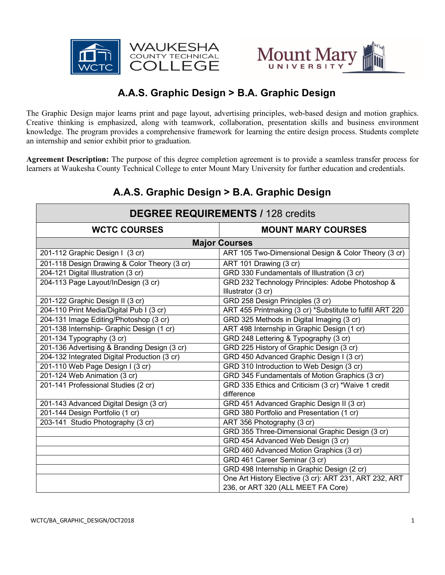



## **A.A.S. Graphic Design > B.A. Graphic Design**

The Graphic Design major learns print and page layout, advertising principles, web-based design and motion graphics. Creative thinking is emphasized, along with teamwork, collaboration, presentation skills and business environment knowledge. The program provides a comprehensive framework for learning the entire design process. Students complete an internship and senior exhibit prior to graduation.

**Agreement Description:** The purpose of this degree completion agreement is to provide a seamless transfer process for learners at Waukesha County Technical College to enter Mount Mary University for further education and credentials.

# **A.A.S. Graphic Design > B.A. Graphic Design**

| <b>DEGREE REQUIREMENTS / 128 credits</b>     |                                                           |
|----------------------------------------------|-----------------------------------------------------------|
| <b>WCTC COURSES</b>                          | <b>MOUNT MARY COURSES</b>                                 |
| <b>Major Courses</b>                         |                                                           |
| 201-112 Graphic Design I (3 cr)              | ART 105 Two-Dimensional Design & Color Theory (3 cr)      |
| 201-118 Design Drawing & Color Theory (3 cr) | ART 101 Drawing (3 cr)                                    |
| 204-121 Digital Illustration (3 cr)          | GRD 330 Fundamentals of Illustration (3 cr)               |
| 204-113 Page Layout/InDesign (3 cr)          | GRD 232 Technology Principles: Adobe Photoshop &          |
|                                              | Illustrator (3 cr)                                        |
| 201-122 Graphic Design II (3 cr)             | GRD 258 Design Principles (3 cr)                          |
| 204-110 Print Media/Digital Pub I (3 cr)     | ART 455 Printmaking (3 cr) *Substitute to fulfill ART 220 |
| 204-131 Image Editing/Photoshop (3 cr)       | GRD 325 Methods in Digital Imaging (3 cr)                 |
| 201-138 Internship- Graphic Design (1 cr)    | ART 498 Internship in Graphic Design (1 cr)               |
| 201-134 Typography (3 cr)                    | GRD 248 Lettering & Typography (3 cr)                     |
| 201-136 Advertising & Branding Design (3 cr) | GRD 225 History of Graphic Design (3 cr)                  |
| 204-132 Integrated Digital Production (3 cr) | GRD 450 Advanced Graphic Design I (3 cr)                  |
| 201-110 Web Page Design I (3 cr)             | GRD 310 Introduction to Web Design (3 cr)                 |
| 201-124 Web Animation (3 cr)                 | GRD 345 Fundamentals of Motion Graphics (3 cr)            |
| 201-141 Professional Studies (2 cr)          | GRD 335 Ethics and Criticism (3 cr) *Waive 1 credit       |
|                                              | difference                                                |
| 201-143 Advanced Digital Design (3 cr)       | GRD 451 Advanced Graphic Design II (3 cr)                 |
| 201-144 Design Portfolio (1 cr)              | GRD 380 Portfolio and Presentation (1 cr)                 |
| 203-141 Studio Photography (3 cr)            | ART 356 Photography (3 cr)                                |
|                                              | GRD 355 Three-Dimensional Graphic Design (3 cr)           |
|                                              | GRD 454 Advanced Web Design (3 cr)                        |
|                                              | GRD 460 Advanced Motion Graphics (3 cr)                   |
|                                              | GRD 461 Career Seminar (3 cr)                             |
|                                              | GRD 498 Internship in Graphic Design (2 cr)               |
|                                              | One Art History Elective (3 cr): ART 231, ART 232, ART    |
|                                              | 236, or ART 320 (ALL MEET FA Core)                        |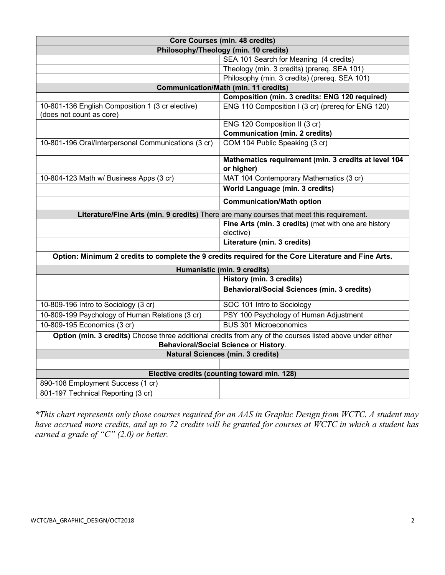| <b>Core Courses (min. 48 credits)</b>                                                               |                                                                                                           |
|-----------------------------------------------------------------------------------------------------|-----------------------------------------------------------------------------------------------------------|
| Philosophy/Theology (min. 10 credits)                                                               |                                                                                                           |
|                                                                                                     | SEA 101 Search for Meaning (4 credits)                                                                    |
|                                                                                                     | Theology (min. 3 credits) (prereq. SEA 101)                                                               |
|                                                                                                     | Philosophy (min. 3 credits) (prereq. SEA 101)                                                             |
| <b>Communication/Math (min. 11 credits)</b>                                                         |                                                                                                           |
|                                                                                                     | Composition (min. 3 credits: ENG 120 required)                                                            |
| 10-801-136 English Composition 1 (3 cr elective)<br>(does not count as core)                        | ENG 110 Composition I (3 cr) (prereq for ENG 120)                                                         |
|                                                                                                     | ENG 120 Composition II (3 cr)                                                                             |
|                                                                                                     | <b>Communication (min. 2 credits)</b>                                                                     |
| 10-801-196 Oral/Interpersonal Communications (3 cr)                                                 | COM 104 Public Speaking (3 cr)                                                                            |
|                                                                                                     | Mathematics requirement (min. 3 credits at level 104<br>or higher)                                        |
| 10-804-123 Math w/ Business Apps (3 cr)                                                             | MAT 104 Contemporary Mathematics (3 cr)                                                                   |
|                                                                                                     | World Language (min. 3 credits)                                                                           |
|                                                                                                     | <b>Communication/Math option</b>                                                                          |
| Literature/Fine Arts (min. 9 credits) There are many courses that meet this requirement.            |                                                                                                           |
|                                                                                                     | Fine Arts (min. 3 credits) (met with one are history<br>elective)                                         |
|                                                                                                     | Literature (min. 3 credits)                                                                               |
| Option: Minimum 2 credits to complete the 9 credits required for the Core Literature and Fine Arts. |                                                                                                           |
| Humanistic (min. 9 credits)                                                                         |                                                                                                           |
|                                                                                                     | <b>History (min. 3 credits)</b>                                                                           |
|                                                                                                     | <b>Behavioral/Social Sciences (min. 3 credits)</b>                                                        |
| 10-809-196 Intro to Sociology (3 cr)                                                                | SOC 101 Intro to Sociology                                                                                |
| 10-809-199 Psychology of Human Relations (3 cr)                                                     | PSY 100 Psychology of Human Adjustment                                                                    |
| 10-809-195 Economics (3 cr)                                                                         | <b>BUS 301 Microeconomics</b>                                                                             |
|                                                                                                     | Option (min. 3 credits) Choose three additional credits from any of the courses listed above under either |
| Behavioral/Social Science or History.                                                               |                                                                                                           |
| <b>Natural Sciences (min. 3 credits)</b>                                                            |                                                                                                           |
|                                                                                                     |                                                                                                           |
| Elective credits (counting toward min. 128)                                                         |                                                                                                           |
| 890-108 Employment Success (1 cr)                                                                   |                                                                                                           |
| 801-197 Technical Reporting (3 cr)                                                                  |                                                                                                           |

*\*This chart represents only those courses required for an AAS in Graphic Design from WCTC. A student may have accrued more credits, and up to 72 credits will be granted for courses at WCTC in which a student has earned a grade of "C" (2.0) or better.*